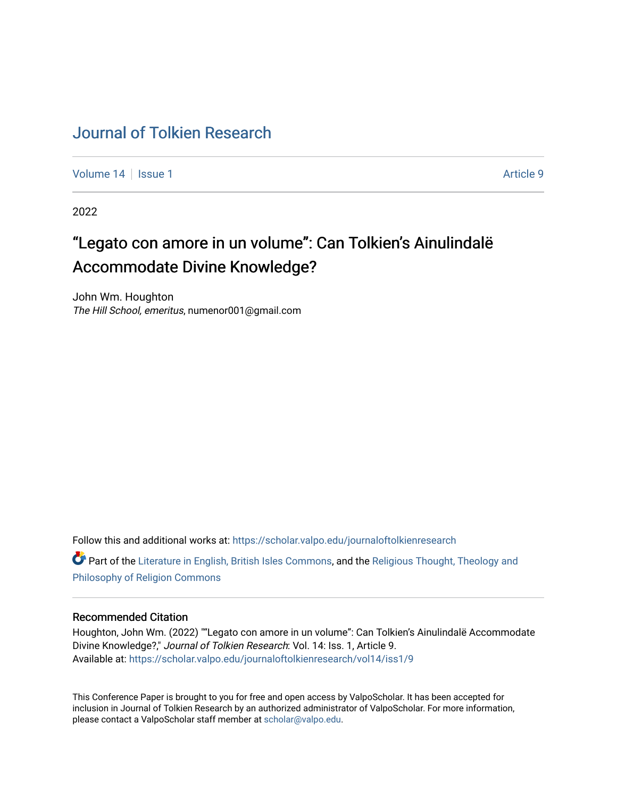# [Journal of Tolkien Research](https://scholar.valpo.edu/journaloftolkienresearch)

[Volume 14](https://scholar.valpo.edu/journaloftolkienresearch/vol14) | [Issue 1](https://scholar.valpo.edu/journaloftolkienresearch/vol14/iss1) Article 9

2022

# "Legato con amore in un volume": Can Tolkien's Ainulindalë Accommodate Divine Knowledge?

John Wm. Houghton The Hill School, emeritus, numenor001@gmail.com

Follow this and additional works at: [https://scholar.valpo.edu/journaloftolkienresearch](https://scholar.valpo.edu/journaloftolkienresearch?utm_source=scholar.valpo.edu%2Fjournaloftolkienresearch%2Fvol14%2Fiss1%2F9&utm_medium=PDF&utm_campaign=PDFCoverPages) 

Part of the [Literature in English, British Isles Commons](http://network.bepress.com/hgg/discipline/456?utm_source=scholar.valpo.edu%2Fjournaloftolkienresearch%2Fvol14%2Fiss1%2F9&utm_medium=PDF&utm_campaign=PDFCoverPages), and the [Religious Thought, Theology and](http://network.bepress.com/hgg/discipline/544?utm_source=scholar.valpo.edu%2Fjournaloftolkienresearch%2Fvol14%2Fiss1%2F9&utm_medium=PDF&utm_campaign=PDFCoverPages) [Philosophy of Religion Commons](http://network.bepress.com/hgg/discipline/544?utm_source=scholar.valpo.edu%2Fjournaloftolkienresearch%2Fvol14%2Fiss1%2F9&utm_medium=PDF&utm_campaign=PDFCoverPages)

#### Recommended Citation

Houghton, John Wm. (2022) ""Legato con amore in un volume": Can Tolkien's Ainulindalë Accommodate Divine Knowledge?," Journal of Tolkien Research: Vol. 14: Iss. 1, Article 9. Available at: [https://scholar.valpo.edu/journaloftolkienresearch/vol14/iss1/9](https://scholar.valpo.edu/journaloftolkienresearch/vol14/iss1/9?utm_source=scholar.valpo.edu%2Fjournaloftolkienresearch%2Fvol14%2Fiss1%2F9&utm_medium=PDF&utm_campaign=PDFCoverPages) 

This Conference Paper is brought to you for free and open access by ValpoScholar. It has been accepted for inclusion in Journal of Tolkien Research by an authorized administrator of ValpoScholar. For more information, please contact a ValpoScholar staff member at [scholar@valpo.edu](mailto:scholar@valpo.edu).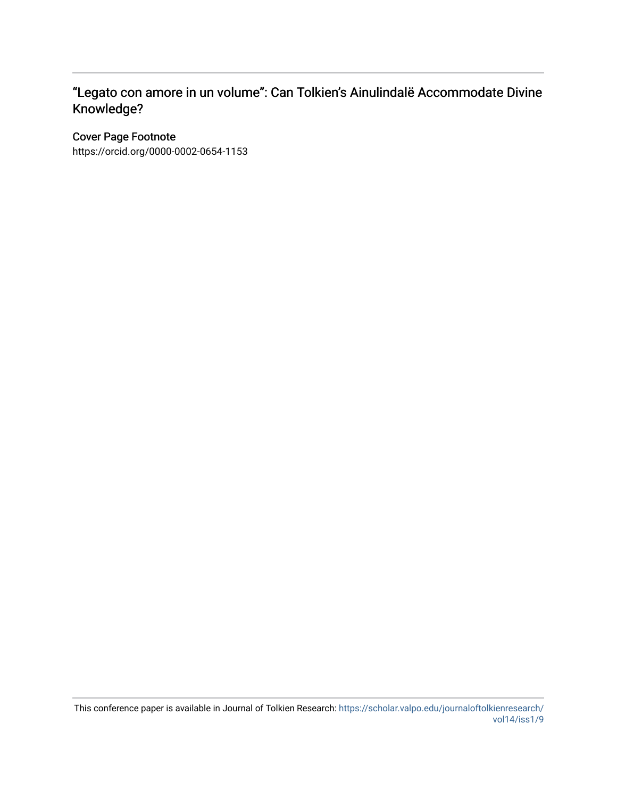# "Legato con amore in un volume": Can Tolkien's Ainulindalë Accommodate Divine Knowledge?

## Cover Page Footnote

https://orcid.org/0000-0002-0654-1153

This conference paper is available in Journal of Tolkien Research: [https://scholar.valpo.edu/journaloftolkienresearch/](https://scholar.valpo.edu/journaloftolkienresearch/vol14/iss1/9) [vol14/iss1/9](https://scholar.valpo.edu/journaloftolkienresearch/vol14/iss1/9)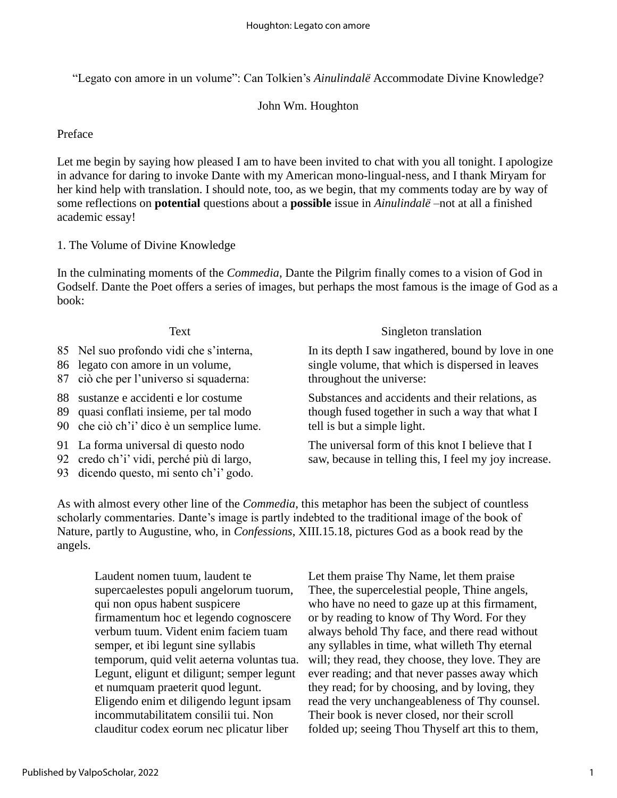"Legato con amore in un volume": Can Tolkien's *Ainulindalë* Accommodate Divine Knowledge?

## John Wm. Houghton

Preface

Let me begin by saying how pleased I am to have been invited to chat with you all tonight. I apologize in advance for daring to invoke Dante with my American mono-lingual-ness, and I thank Miryam for her kind help with translation. I should note, too, as we begin, that my comments today are by way of some reflections on **potential** questions about a **possible** issue in *Ainulindalë –*not at all a finished academic essay!

### 1. The Volume of Divine Knowledge

In the culminating moments of the *Commedia*, Dante the Pilgrim finally comes to a vision of God in Godself. Dante the Poet offers a series of images, but perhaps the most famous is the image of God as a book:

| Text                                                                                                                          | Singleton translation                                                                                                               |
|-------------------------------------------------------------------------------------------------------------------------------|-------------------------------------------------------------------------------------------------------------------------------------|
| 85 Nel suo profondo vidi che s'interna,<br>86 legato con amore in un volume,<br>87 ciò che per l'universo si squaderna:       | In its depth I saw ingathered, bound by love in one<br>single volume, that which is dispersed in leaves<br>throughout the universe: |
| 88 sustanze e accidenti e lor costume<br>89 quasi conflati insieme, per tal modo<br>90 che ciò ch'i' dico è un semplice lume. | Substances and accidents and their relations, as<br>though fused together in such a way that what I<br>tell is but a simple light.  |
| 91 La forma universal di questo nodo<br>92 credo ch'i' vidi, perché più di largo,<br>93 dicendo questo, mi sento ch'i' godo.  | The universal form of this knot I believe that I<br>saw, because in telling this, I feel my joy increase.                           |

As with almost every other line of the *Commedia*, this metaphor has been the subject of countless scholarly commentaries. Dante's image is partly indebted to the traditional image of the book of Nature, partly to Augustine, who, in *Confessions*, XIII.15.18, pictures God as a book read by the angels.

Laudent nomen tuum, laudent te supercaelestes populi angelorum tuorum, qui non opus habent suspicere firmamentum hoc et legendo cognoscere verbum tuum. Vident enim faciem tuam semper, et ibi legunt sine syllabis temporum, quid velit aeterna voluntas tua. Legunt, eligunt et diligunt; semper legunt et numquam praeterit quod legunt. Eligendo enim et diligendo legunt ipsam incommutabilitatem consilii tui. Non clauditur codex eorum nec plicatur liber

Let them praise Thy Name, let them praise Thee, the supercelestial people, Thine angels, who have no need to gaze up at this firmament, or by reading to know of Thy Word. For they always behold Thy face, and there read without any syllables in time, what willeth Thy eternal will; they read, they choose, they love. They are ever reading; and that never passes away which they read; for by choosing, and by loving, they read the very unchangeableness of Thy counsel. Their book is never closed, nor their scroll folded up; seeing Thou Thyself art this to them,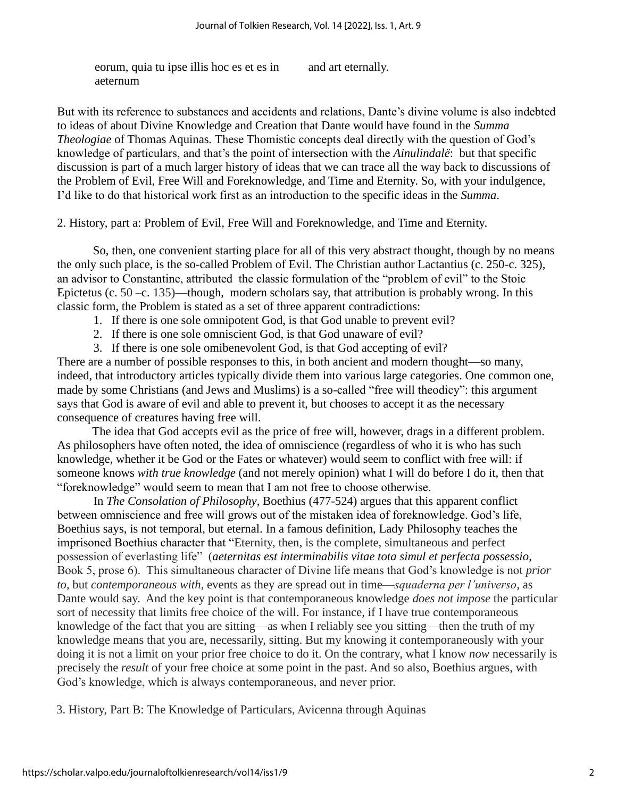eorum, quia tu ipse illis hoc es et es in aeternum

and art eternally.

But with its reference to substances and accidents and relations, Dante's divine volume is also indebted to ideas of about Divine Knowledge and Creation that Dante would have found in the *Summa Theologiae* of Thomas Aquinas*.* These Thomistic concepts deal directly with the question of God's knowledge of particulars, and that's the point of intersection with the *Ainulindalë*: but that specific discussion is part of a much larger history of ideas that we can trace all the way back to discussions of the Problem of Evil, Free Will and Foreknowledge, and Time and Eternity. So, with your indulgence, I'd like to do that historical work first as an introduction to the specific ideas in the *Summa*.

2. History, part a: Problem of Evil, Free Will and Foreknowledge, and Time and Eternity.

So, then, one convenient starting place for all of this very abstract thought, though by no means the only such place, is the so-called Problem of Evil. The Christian author Lactantius (c. 250-c. 325), an advisor to Constantine, attributed the classic formulation of the "problem of evil" to the Stoic Epictetus (c. 50 –c. 135)—though, modern scholars say, that attribution is probably wrong. In this classic form, the Problem is stated as a set of three apparent contradictions:

- 1. If there is one sole omnipotent God, is that God unable to prevent evil?
- 2. If there is one sole omniscient God, is that God unaware of evil?
- 3. If there is one sole omibenevolent God, is that God accepting of evil?

There are a number of possible responses to this, in both ancient and modern thought—so many, indeed, that introductory articles typically divide them into various large categories. One common one, made by some Christians (and Jews and Muslims) is a so-called "free will theodicy": this argument says that God is aware of evil and able to prevent it, but chooses to accept it as the necessary consequence of creatures having free will.

The idea that God accepts evil as the price of free will, however, drags in a different problem. As philosophers have often noted, the idea of omniscience (regardless of who it is who has such knowledge, whether it be God or the Fates or whatever) would seem to conflict with free will: if someone knows *with true knowledge* (and not merely opinion) what I will do before I do it, then that "foreknowledge" would seem to mean that I am not free to choose otherwise.

In *The Consolation of Philosophy*, Boethius (477-524) argues that this apparent conflict between omniscience and free will grows out of the mistaken idea of foreknowledge. God's life, Boethius says, is not temporal, but eternal. In a famous definition, Lady Philosophy teaches the imprisoned Boethius character that "Eternity, then, is the complete, simultaneous and perfect possession of everlasting life" (*aeternitas est interminabilis vitae tota simul et perfecta possessio*, Book 5, prose 6). This simultaneous character of Divine life means that God's knowledge is not *prior to*, but *contemporaneous with*, events as they are spread out in time—*squaderna per l'universo*, as Dante would say. And the key point is that contemporaneous knowledge *does not impose* the particular sort of necessity that limits free choice of the will. For instance, if I have true contemporaneous knowledge of the fact that you are sitting—as when I reliably see you sitting—then the truth of my knowledge means that you are, necessarily, sitting. But my knowing it contemporaneously with your doing it is not a limit on your prior free choice to do it. On the contrary, what I know *now* necessarily is precisely the *result* of your free choice at some point in the past. And so also, Boethius argues, with God's knowledge, which is always contemporaneous, and never prior.

3. History, Part B: The Knowledge of Particulars, Avicenna through Aquinas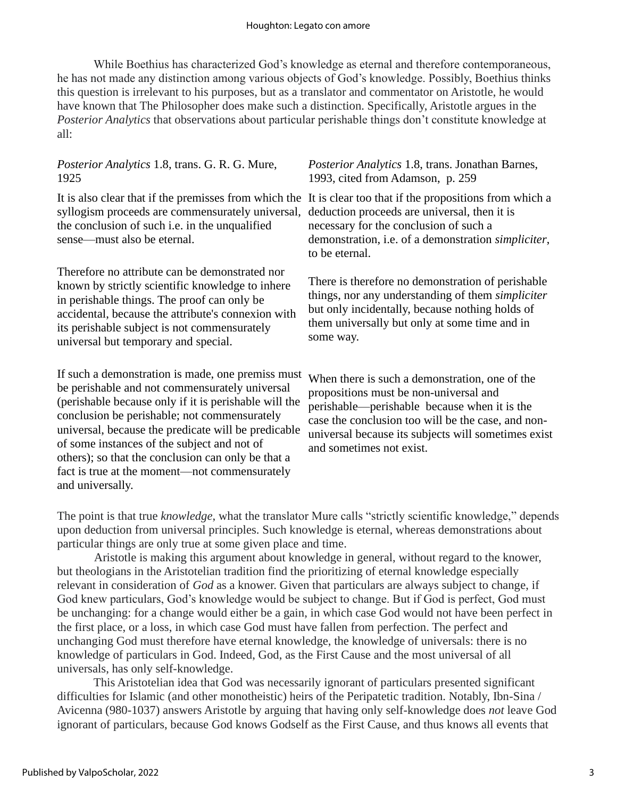While Boethius has characterized God's knowledge as eternal and therefore contemporaneous, he has not made any distinction among various objects of God's knowledge. Possibly, Boethius thinks this question is irrelevant to his purposes, but as a translator and commentator on Aristotle, he would have known that The Philosopher does make such a distinction. Specifically, Aristotle argues in the *Posterior Analytics* that observations about particular perishable things don't constitute knowledge at all:

## *Posterior Analytics* 1.8, trans. G. R. G. Mure, 1925

syllogism proceeds are commensurately universal, deduction proceeds are universal, then it is the conclusion of such i.e. in the unqualified sense—must also be eternal.

Therefore no attribute can be demonstrated nor known by strictly scientific knowledge to inhere in perishable things. The proof can only be accidental, because the attribute's connexion with its perishable subject is not commensurately universal but temporary and special.

If such a demonstration is made, one premiss must When there is such a demonstration, one of the be perishable and not commensurately universal (perishable because only if it is perishable will the conclusion be perishable; not commensurately universal, because the predicate will be predicable of some instances of the subject and not of others); so that the conclusion can only be that a fact is true at the moment—not commensurately and universally.

#### *Posterior Analytics* 1.8, trans. Jonathan Barnes, 1993, cited from Adamson, p. 259

It is also clear that if the premisses from which the It is clear too that if the propositions from which a necessary for the conclusion of such a demonstration, i.e. of a demonstration *simpliciter*, to be eternal.

> There is therefore no demonstration of perishable things, nor any understanding of them *simpliciter* but only incidentally, because nothing holds of them universally but only at some time and in some way.

propositions must be non-universal and perishable—perishable because when it is the case the conclusion too will be the case, and nonuniversal because its subjects will sometimes exist and sometimes not exist.

The point is that true *knowledge*, what the translator Mure calls "strictly scientific knowledge," depends upon deduction from universal principles. Such knowledge is eternal, whereas demonstrations about particular things are only true at some given place and time.

Aristotle is making this argument about knowledge in general, without regard to the knower, but theologians in the Aristotelian tradition find the prioritizing of eternal knowledge especially relevant in consideration of *God* as a knower. Given that particulars are always subject to change, if God knew particulars, God's knowledge would be subject to change. But if God is perfect, God must be unchanging: for a change would either be a gain, in which case God would not have been perfect in the first place, or a loss, in which case God must have fallen from perfection. The perfect and unchanging God must therefore have eternal knowledge, the knowledge of universals: there is no knowledge of particulars in God. Indeed, God, as the First Cause and the most universal of all universals, has only self-knowledge.

This Aristotelian idea that God was necessarily ignorant of particulars presented significant difficulties for Islamic (and other monotheistic) heirs of the Peripatetic tradition. Notably, Ibn-Sina / Avicenna (980-1037) answers Aristotle by arguing that having only self-knowledge does *not* leave God ignorant of particulars, because God knows Godself as the First Cause, and thus knows all events that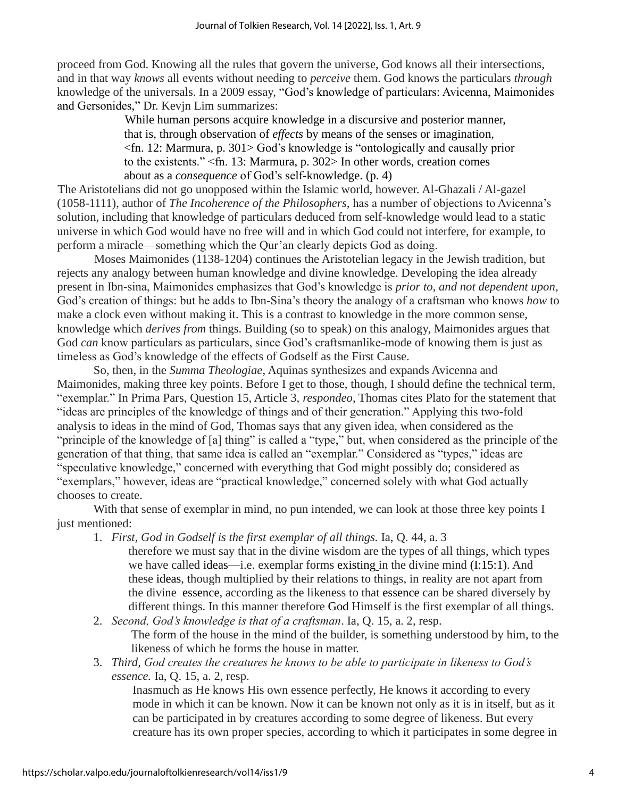proceed from God. Knowing all the rules that govern the universe, God knows all their intersections, and in that way *knows* all events without needing to *perceive* them. God knows the particulars *through* knowledge of the universals. In a 2009 essay, "God's knowledge of particulars: Avicenna, Maimonides and Gersonides," Dr. Kevjn Lim summarizes:

> While human persons acquire knowledge in a discursive and posterior manner, that is, through observation of *effects* by means of the senses or imagination, <fn. 12: Marmura, p. 301> God's knowledge is "ontologically and causally prior to the existents." <fn. 13: Marmura, p. 302> In other words, creation comes about as a *consequence* of God's self-knowledge. (p. 4)

The Aristotelians did not go unopposed within the Islamic world, however. Al-Ghazali / Al-gazel (1058-1111), author of *The Incoherence of the Philosophers,* has a number of objections to Avicenna's solution, including that knowledge of particulars deduced from self-knowledge would lead to a static universe in which God would have no free will and in which God could not interfere, for example, to perform a miracle—something which the Qur'an clearly depicts God as doing.

Moses Maimonides (1138-1204) continues the Aristotelian legacy in the Jewish tradition, but rejects any analogy between human knowledge and divine knowledge. Developing the idea already present in Ibn-sina, Maimonides emphasizes that God's knowledge is *prior to, and not dependent upon*, God's creation of things: but he adds to Ibn-Sina's theory the analogy of a craftsman who knows *how* to make a clock even without making it. This is a contrast to knowledge in the more common sense, knowledge which *derives from* things. Building (so to speak) on this analogy, Maimonides argues that God *can* know particulars as particulars, since God's craftsmanlike-mode of knowing them is just as timeless as God's knowledge of the effects of Godself as the First Cause.

So, then, in the *Summa Theologiae*, Aquinas synthesizes and expands Avicenna and Maimonides, making three key points. Before I get to those, though, I should define the technical term, "exemplar." In Prima Pars, Question 15, Article 3, *respondeo*, Thomas cites Plato for the statement that "ideas are principles of the knowledge of things and of their generation." Applying this two-fold analysis to ideas in the mind of God, Thomas says that any given idea, when considered as the "principle of the knowledge of [a] thing" is called a "type," but, when considered as the principle of the generation of that thing, that same idea is called an "exemplar." Considered as "types," ideas are "speculative knowledge," concerned with everything that God might possibly do; considered as "exemplars," however, ideas are "practical knowledge," concerned solely with what God actually chooses to create.

With that sense of exemplar in mind, no pun intended, we can look at those three key points I just mentioned:

- 1. *First, God in Godself is the first exemplar of all things.* Ia, Q. 44, a. 3 therefore we must say that in the divine wisdom are the types of all things, which types we have called ideas—i.e. exemplar forms existing in the divine mind (I:15:1). And these ideas, though multiplied by their relations to things, in reality are not apart from the divine essence, according as the likeness to that essence can be shared diversely by different things. In this manner therefore God Himself is the first exemplar of all things.
- 2. *Second, God's knowledge is that of a craftsman*. Ia, Q. 15, a. 2, resp. The form of the house in the mind of the builder, is something understood by him, to the likeness of which he forms the house in matter.
- 3. *Third, God creates the creatures he knows to be able to participate in likeness to God's essence.* Ia, Q. 15, a. 2, resp.

Inasmuch as He knows His own essence perfectly, He knows it according to every mode in which it can be known. Now it can be known not only as it is in itself, but as it can be participated in by creatures according to some degree of likeness. But every creature has its own proper species, according to which it participates in some degree in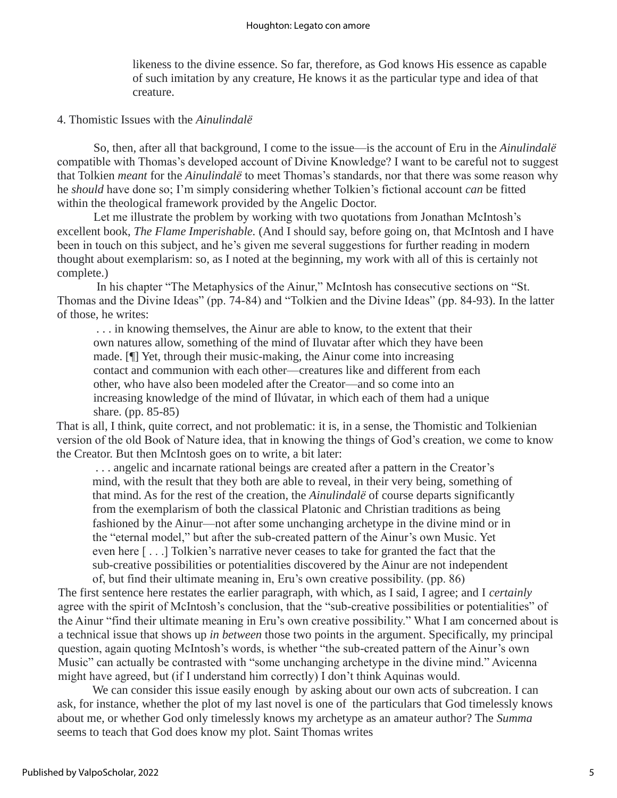likeness to the divine essence. So far, therefore, as God knows His essence as capable of such imitation by any creature, He knows it as the particular type and idea of that creature.

#### 4. Thomistic Issues with the *Ainulindalë*

So, then, after all that background, I come to the issue—is the account of Eru in the *Ainulindalë*  compatible with Thomas's developed account of Divine Knowledge? I want to be careful not to suggest that Tolkien *meant* for the *Ainulindalë* to meet Thomas's standards, nor that there was some reason why he *should* have done so; I'm simply considering whether Tolkien's fictional account *can* be fitted within the theological framework provided by the Angelic Doctor.

Let me illustrate the problem by working with two quotations from Jonathan McIntosh's excellent book, *The Flame Imperishable.* (And I should say, before going on, that McIntosh and I have been in touch on this subject, and he's given me several suggestions for further reading in modern thought about exemplarism: so, as I noted at the beginning, my work with all of this is certainly not complete.)

In his chapter "The Metaphysics of the Ainur," McIntosh has consecutive sections on "St. Thomas and the Divine Ideas" (pp. 74-84) and "Tolkien and the Divine Ideas" (pp. 84-93). In the latter of those, he writes:

. . . in knowing themselves, the Ainur are able to know, to the extent that their own natures allow, something of the mind of Iluvatar after which they have been made. [¶] Yet, through their music-making, the Ainur come into increasing contact and communion with each other—creatures like and different from each other, who have also been modeled after the Creator—and so come into an increasing knowledge of the mind of Ilúvatar, in which each of them had a unique share. (pp. 85-85)

That is all, I think, quite correct, and not problematic: it is, in a sense, the Thomistic and Tolkienian version of the old Book of Nature idea, that in knowing the things of God's creation, we come to know the Creator. But then McIntosh goes on to write, a bit later:

. . . angelic and incarnate rational beings are created after a pattern in the Creator's mind, with the result that they both are able to reveal, in their very being, something of that mind. As for the rest of the creation, the *Ainulindalë* of course departs significantly from the exemplarism of both the classical Platonic and Christian traditions as being fashioned by the Ainur—not after some unchanging archetype in the divine mind or in the "eternal model," but after the sub-created pattern of the Ainur's own Music. Yet even here [ . . .] Tolkien's narrative never ceases to take for granted the fact that the sub-creative possibilities or potentialities discovered by the Ainur are not independent of, but find their ultimate meaning in, Eru's own creative possibility. (pp. 86)

The first sentence here restates the earlier paragraph, with which, as I said, I agree; and I *certainly* agree with the spirit of McIntosh's conclusion, that the "sub-creative possibilities or potentialities" of the Ainur "find their ultimate meaning in Eru's own creative possibility." What I am concerned about is a technical issue that shows up *in between* those two points in the argument. Specifically, my principal question, again quoting McIntosh's words, is whether "the sub-created pattern of the Ainur's own Music" can actually be contrasted with "some unchanging archetype in the divine mind." Avicenna might have agreed, but (if I understand him correctly) I don't think Aquinas would.

We can consider this issue easily enough by asking about our own acts of subcreation. I can ask, for instance, whether the plot of my last novel is one of the particulars that God timelessly knows about me, or whether God only timelessly knows my archetype as an amateur author? The *Summa*  seems to teach that God does know my plot. Saint Thomas writes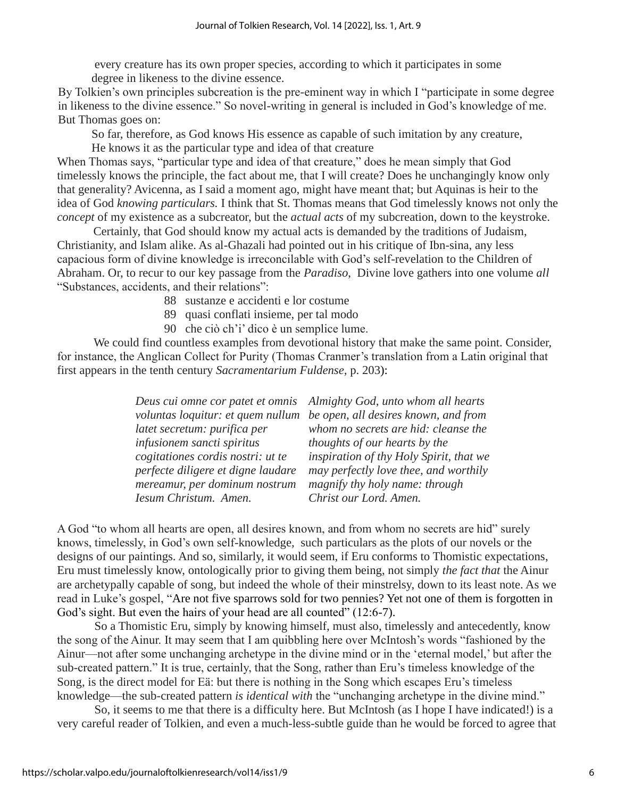every creature has its own proper species, according to which it participates in some degree in likeness to the divine essence.

By Tolkien's own principles subcreation is the pre-eminent way in which I "participate in some degree in likeness to the divine essence." So novel-writing in general is included in God's knowledge of me. But Thomas goes on:

So far, therefore, as God knows His essence as capable of such imitation by any creature, He knows it as the particular type and idea of that creature

When Thomas says, "particular type and idea of that creature," does he mean simply that God timelessly knows the principle, the fact about me, that I will create? Does he unchangingly know only that generality? Avicenna, as I said a moment ago, might have meant that; but Aquinas is heir to the idea of God *knowing particulars.* I think that St. Thomas means that God timelessly knows not only the *concept* of my existence as a subcreator, but the *actual acts* of my subcreation, down to the keystroke.

Certainly, that God should know my actual acts is demanded by the traditions of Judaism, Christianity, and Islam alike. As al-Ghazali had pointed out in his critique of Ibn-sina, any less capacious form of divine knowledge is irreconcilable with God's self-revelation to the Children of Abraham. Or, to recur to our key passage from the *Paradiso*, Divine love gathers into one volume *all* "Substances, accidents, and their relations":

- 88 sustanze e accidenti e lor costume
- 89 quasi conflati insieme, per tal modo
- 90 che ciò ch'i' dico è un semplice lume.

We could find countless examples from devotional history that make the same point. Consider, for instance, the Anglican Collect for Purity (Thomas Cranmer's translation from a Latin original that first appears in the tenth century *Sacramentarium Fuldense,* p. 203):

|                                    | Deus cui omne cor patet et omnis Almighty God, unto whom all hearts    |
|------------------------------------|------------------------------------------------------------------------|
|                                    | voluntas loquitur: et quem nullum be open, all desires known, and from |
| latet secretum: purifica per       | whom no secrets are hid: cleanse the                                   |
| infusionem sancti spiritus         | thoughts of our hearts by the                                          |
| cogitationes cordis nostri: ut te  | inspiration of thy Holy Spirit, that we                                |
| perfecte diligere et digne laudare | may perfectly love thee, and worthily                                  |
| mereamur, per dominum nostrum      | magnify thy holy name: through                                         |
| Iesum Christum. Amen.              | Christ our Lord. Amen.                                                 |

A God "to whom all hearts are open, all desires known, and from whom no secrets are hid" surely knows, timelessly, in God's own self-knowledge, such particulars as the plots of our novels or the designs of our paintings. And so, similarly, it would seem, if Eru conforms to Thomistic expectations, Eru must timelessly know, ontologically prior to giving them being, not simply *the fact that* the Ainur are archetypally capable of song, but indeed the whole of their minstrelsy, down to its least note. As we read in Luke's gospel, "Are not five sparrows sold for two pennies? Yet not one of them is forgotten in God's sight. But even the hairs of your head are all counted" (12:6-7).

So a Thomistic Eru, simply by knowing himself, must also, timelessly and antecedently, know the song of the Ainur. It may seem that I am quibbling here over McIntosh's words "fashioned by the Ainur—not after some unchanging archetype in the divine mind or in the 'eternal model,' but after the sub-created pattern." It is true, certainly, that the Song, rather than Eru's timeless knowledge of the Song, is the direct model for Eä: but there is nothing in the Song which escapes Eru's timeless knowledge—the sub-created pattern *is identical with* the "unchanging archetype in the divine mind."

So, it seems to me that there is a difficulty here. But McIntosh (as I hope I have indicated!) is a very careful reader of Tolkien, and even a much-less-subtle guide than he would be forced to agree that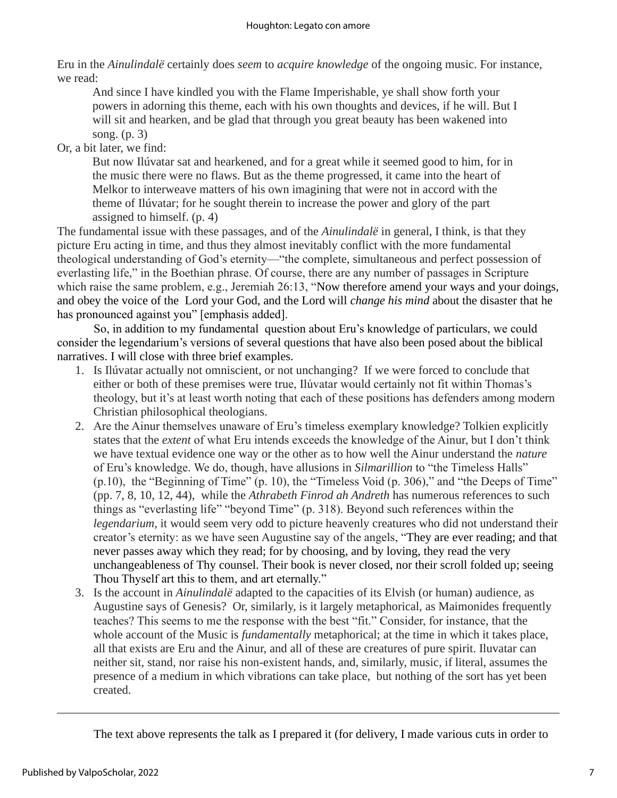Eru in the *Ainulindalë* certainly does *seem* to *acquire knowledge* of the ongoing music. For instance, we read:

And since I have kindled you with the Flame Imperishable, ye shall show forth your powers in adorning this theme, each with his own thoughts and devices, if he will. But I will sit and hearken, and be glad that through you great beauty has been wakened into song. (p. 3)

Or, a bit later, we find:

But now Ilúvatar sat and hearkened, and for a great while it seemed good to him, for in the music there were no flaws. But as the theme progressed, it came into the heart of Melkor to interweave matters of his own imagining that were not in accord with the theme of Ilúvatar; for he sought therein to increase the power and glory of the part assigned to himself. (p. 4)

The fundamental issue with these passages, and of the *Ainulindalë* in general, I think, is that they picture Eru acting in time, and thus they almost inevitably conflict with the more fundamental theological understanding of God's eternity—"the complete, simultaneous and perfect possession of everlasting life," in the Boethian phrase. Of course, there are any number of passages in Scripture which raise the same problem, e.g., Jeremiah 26:13, "Now therefore amend your ways and your doings, and obey the voice of the Lord your God, and the Lord will *change his mind* about the disaster that he has pronounced against you" [emphasis added].

So, in addition to my fundamental question about Eru's knowledge of particulars, we could consider the legendarium's versions of several questions that have also been posed about the biblical narratives. I will close with three brief examples.

- 1. Is Ilúvatar actually not omniscient, or not unchanging? If we were forced to conclude that either or both of these premises were true, Ilúvatar would certainly not fit within Thomas's theology, but it's at least worth noting that each of these positions has defenders among modern Christian philosophical theologians.
- 2. Are the Ainur themselves unaware of Eru's timeless exemplary knowledge? Tolkien explicitly states that the *extent* of what Eru intends exceeds the knowledge of the Ainur, but I don't think we have textual evidence one way or the other as to how well the Ainur understand the *nature*  of Eru's knowledge. We do, though, have allusions in *Silmarillion* to "the Timeless Halls" (p.10), the "Beginning of Time" (p. 10), the "Timeless Void (p. 306)," and "the Deeps of Time" (pp. 7, 8, 10, 12, 44), while the *Athrabeth Finrod ah Andreth* has numerous references to such things as "everlasting life" "beyond Time" (p. 318). Beyond such references within the *legendarium*, it would seem very odd to picture heavenly creatures who did not understand their creator's eternity: as we have seen Augustine say of the angels, "They are ever reading; and that never passes away which they read; for by choosing, and by loving, they read the very unchangeableness of Thy counsel. Their book is never closed, nor their scroll folded up; seeing Thou Thyself art this to them, and art eternally."
- 3. Is the account in *Ainulindalë* adapted to the capacities of its Elvish (or human) audience, as Augustine says of Genesis? Or, similarly, is it largely metaphorical, as Maimonides frequently teaches? This seems to me the response with the best "fit." Consider, for instance, that the whole account of the Music is *fundamentally* metaphorical; at the time in which it takes place, all that exists are Eru and the Ainur, and all of these are creatures of pure spirit. Iluvatar can neither sit, stand, nor raise his non-existent hands, and, similarly, music, if literal, assumes the presence of a medium in which vibrations can take place, but nothing of the sort has yet been created.

The text above represents the talk as I prepared it (for delivery, I made various cuts in order to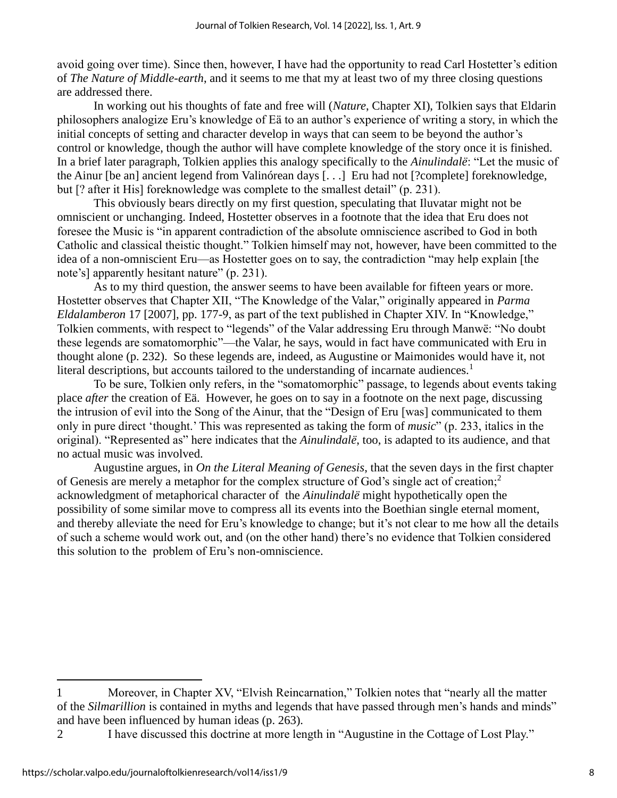avoid going over time). Since then, however, I have had the opportunity to read Carl Hostetter's edition of *The Nature of Middle-earth*, and it seems to me that my at least two of my three closing questions are addressed there.

In working out his thoughts of fate and free will (*Nature*, Chapter XI), Tolkien says that Eldarin philosophers analogize Eru's knowledge of Eä to an author's experience of writing a story, in which the initial concepts of setting and character develop in ways that can seem to be beyond the author's control or knowledge, though the author will have complete knowledge of the story once it is finished. In a brief later paragraph, Tolkien applies this analogy specifically to the *Ainulindalë*: "Let the music of the Ainur [be an] ancient legend from Valinórean days [. . .] Eru had not [?complete] foreknowledge, but [? after it His] foreknowledge was complete to the smallest detail" (p. 231).

This obviously bears directly on my first question, speculating that Iluvatar might not be omniscient or unchanging. Indeed, Hostetter observes in a footnote that the idea that Eru does not foresee the Music is "in apparent contradiction of the absolute omniscience ascribed to God in both Catholic and classical theistic thought." Tolkien himself may not, however, have been committed to the idea of a non-omniscient Eru—as Hostetter goes on to say, the contradiction "may help explain [the note's] apparently hesitant nature" (p. 231).

As to my third question, the answer seems to have been available for fifteen years or more. Hostetter observes that Chapter XII, "The Knowledge of the Valar," originally appeared in *Parma Eldalamberon* 17 [2007], pp. 177-9, as part of the text published in Chapter XIV. In "Knowledge," Tolkien comments, with respect to "legends" of the Valar addressing Eru through Manwë: "No doubt these legends are somatomorphic"—the Valar, he says, would in fact have communicated with Eru in thought alone (p. 232). So these legends are, indeed, as Augustine or Maimonides would have it, not literal descriptions, but accounts tailored to the understanding of incarnate audiences.<sup>1</sup>

To be sure, Tolkien only refers, in the "somatomorphic" passage, to legends about events taking place *after* the creation of Eä. However, he goes on to say in a footnote on the next page, discussing the intrusion of evil into the Song of the Ainur, that the "Design of Eru [was] communicated to them only in pure direct 'thought.' This was represented as taking the form of *music*" (p. 233, italics in the original). "Represented as" here indicates that the *Ainulindalë*, too, is adapted to its audience, and that no actual music was involved.

Augustine argues, in *On the Literal Meaning of Genesis*, that the seven days in the first chapter of Genesis are merely a metaphor for the complex structure of God's single act of creation;<sup>2</sup> acknowledgment of metaphorical character of the *Ainulindalë* might hypothetically open the possibility of some similar move to compress all its events into the Boethian single eternal moment, and thereby alleviate the need for Eru's knowledge to change; but it's not clear to me how all the details of such a scheme would work out, and (on the other hand) there's no evidence that Tolkien considered this solution to the problem of Eru's non-omniscience.

<sup>1</sup> Moreover, in Chapter XV, "Elvish Reincarnation," Tolkien notes that "nearly all the matter of the *Silmarillion* is contained in myths and legends that have passed through men's hands and minds" and have been influenced by human ideas (p. 263).

<sup>2</sup> I have discussed this doctrine at more length in "Augustine in the Cottage of Lost Play."